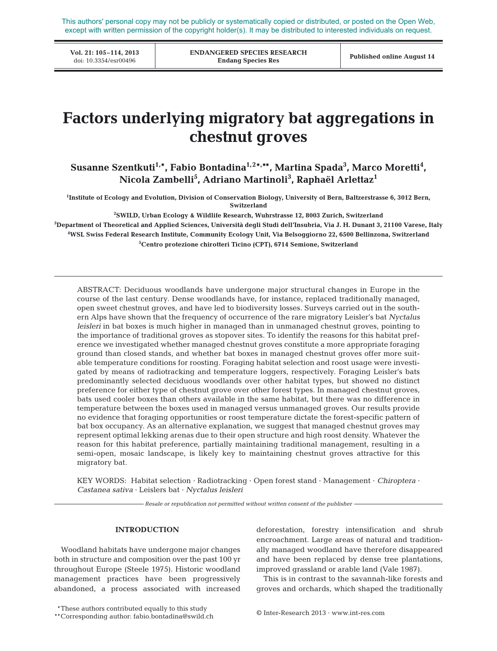This authors' personal copy may not be publicly or systematically copied or distributed, or posted on the Open Web, except with written permission of the copyright holder(s). It may be distributed to interested individuals on request.

**Vol. 21: 105–114, 2013**

**ENDANGERED SPECIES RESEARCH Endang Species Res** doi: 10.3354/esr00496 **Published online August 14**

# **Factors underlying migratory bat aggregations in chestnut groves**

Susanne Szentkuti<sup>1,</sup>\*, Fabio Bontadina<sup>1,2</sup>\*,\*\*, Martina Spada<sup>3</sup>, Marco Moretti<sup>4</sup>, **Nicola Zambelli5 , Adriano Martinoli3 , Raphaël Arlettaz1**

**1 Institute of Ecology and Evolution, Division of Conservation Biology, University of Bern, Baltzerstrasse 6, 3012 Bern, Switzerland**

**2 SWILD, Urban Ecology & Wildlife Research, Wuhrstrasse 12, 8003 Zurich, Switzerland**

**3 Department of Theoretical and Applied Sciences, Università degli Studi dell'Insubria, Via J. H. Dunant 3, 21100 Varese, Italy 4 WSL Swiss Federal Research Institute, Community Ecology Unit, Via Belsoggiorno 22, 6500 Bellinzona, Switzerland 5 Centro protezione chirotteri Ticino (CPT), 6714 Semione, Switzerland**

ABSTRACT: Deciduous woodlands have undergone major structural changes in Europe in the course of the last century. Dense woodlands have, for instance, replaced traditionally managed, open sweet chestnut groves, and have led to biodiversity losses. Surveys carried out in the southern Alps have shown that the frequency of occurrence of the rare migratory Leisler's bat *Nyctalus leisleri* in bat boxes is much higher in managed than in unmanaged chestnut groves, pointing to the importance of traditional groves as stopover sites. To identify the reasons for this habitat preference we investigated whether managed chestnut groves constitute a more appropriate foraging ground than closed stands, and whether bat boxes in managed chestnut groves offer more suitable temperature conditions for roosting. Foraging habitat selection and roost usage were investigated by means of radiotracking and temperature loggers, respectively. Foraging Leisler's bats predominantly selected deciduous woodlands over other habitat types, but showed no distinct preference for either type of chestnut grove over other forest types. In managed chestnut groves, bats used cooler boxes than others available in the same habitat, but there was no difference in temperature between the boxes used in managed versus unmanaged groves. Our results provide no evidence that foraging opportunities or roost temperature dictate the forest-specific pattern of bat box occupancy. As an alternative explanation, we suggest that managed chestnut groves may represent optimal lekking arenas due to their open structure and high roost density. Whatever the reason for this habitat preference, partially maintaining traditional management, resulting in a semi-open, mosaic landscape, is likely key to maintaining chestnut groves attractive for this migratory bat.

KEY WORDS: Habitat selection · Radiotracking · Open forest stand · Management · *Chiroptera* · *Castanea sativa* · Leislers bat · *Nyctalus leisleri*

*Resale or republication not permitted without written consent of the publisher*

# **INTRODUCTION**

Woodland habitats have undergone major changes both in structure and composition over the past 100 yr throughout Europe (Steele 1975). Historic woodland management practices have been progressively abandoned, a process associated with increased deforestation, forestry intensification and shrub encroachment. Large areas of natural and traditionally managed woodland have therefore disappeared and have been replaced by dense tree plantations, improved grassland or arable land (Vale 1987).

This is in contrast to the savannah-like forests and groves and orchards, which shaped the traditionally

\*These authors contributed equally to this study<br>
© Inter-Research 2013 · www.int-res.com

<sup>\*\*</sup>Corresponding author: fabio.bontadina@swild.ch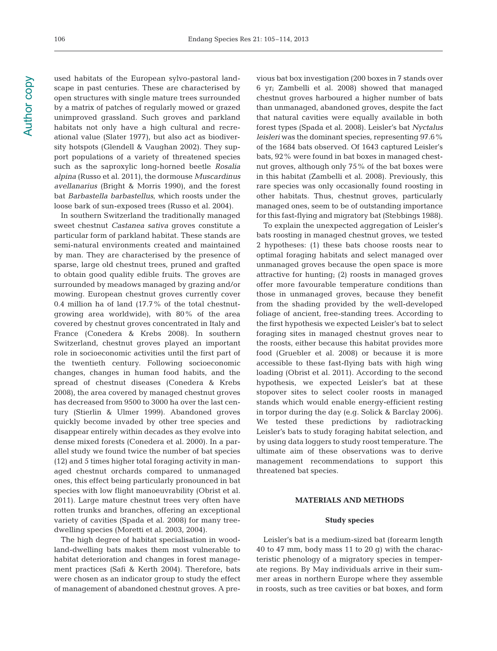used habitats of the European sylvo-pastoral landscape in past centuries. These are characterised by open structures with single mature trees surrounded by a matrix of patches of regularly mowed or grazed unimproved grassland. Such groves and parkland habitats not only have a high cultural and recreational value (Slater 1977), but also act as biodiversity hotspots (Glendell & Vaughan 2002). They support populations of a variety of threatened species such as the saproxylic long-horned beetle *Rosalia alpina* (Russo et al. 2011), the dormouse *Muscardinus avellanarius* (Bright & Morris 1990), and the forest bat *Barbastella barbastellus*, which roosts under the loose bark of sun-exposed trees (Russo et al. 2004).

In southern Switzerland the traditionally managed sweet chestnut *Castanea sativa* groves constitute a particular form of parkland habitat. These stands are semi-natural environments created and maintained by man. They are characterised by the presence of sparse, large old chestnut trees, pruned and grafted to obtain good quality edible fruits. The groves are surrounded by meadows managed by grazing and/or mowing. European chestnut groves currently cover 0.4 million ha of land  $(17.7\%$  of the total chestnutgrowing area worldwide), with 80% of the area covered by chestnut groves concentrated in Italy and France (Conedera & Krebs 2008). In southern Switzerland, chestnut groves played an important role in socioeconomic activities until the first part of the twentieth century. Following socioeconomic changes, changes in human food habits, and the spread of chestnut diseases (Conedera & Krebs 2008), the area covered by managed chestnut groves has decreased from 9500 to 3000 ha over the last century (Stierlin & Ulmer 1999). Abandoned groves quickly become invaded by other tree species and disappear entirely within decades as they evolve into dense mixed forests (Conedera et al. 2000). In a parallel study we found twice the number of bat species (12) and 5 times higher total foraging activity in managed chestnut orchards compared to unmanaged ones, this effect being particularly pronounced in bat species with low flight manoeuvrability (Obrist et al. 2011). Large mature chestnut trees very often have rotten trunks and branches, offering an exceptional variety of cavities (Spada et al. 2008) for many treedwelling species (Moretti et al. 2003, 2004).

The high degree of habitat specialisation in woodland-dwelling bats makes them most vulnerable to habitat deterioration and changes in forest management practices (Safi & Kerth 2004). Therefore, bats were chosen as an indicator group to study the effect of management of abandoned chestnut groves. A previous bat box investigation (200 boxes in 7 stands over 6 yr; Zambelli et al. 2008) showed that managed chestnut groves harboured a higher number of bats than unmanaged, abandoned groves, despite the fact that natural cavities were equally available in both forest types (Spada et al. 2008). Leisler's bat *Nyctalus leisleri* was the dominant species, representing 97.6% of the 1684 bats observed. Of 1643 captured Leisler's bats, 92% were found in bat boxes in managed chestnut groves, although only 75% of the bat boxes were in this habitat (Zambelli et al. 2008). Previously, this rare species was only occasionally found roosting in other habitats. Thus, chestnut groves, particularly managed ones, seem to be of outstanding importance for this fast-flying and migratory bat (Stebbings 1988).

To explain the unexpected aggregation of Leisler's bats roosting in managed chestnut groves, we tested 2 hypotheses: (1) these bats choose roosts near to optimal foraging habitats and select managed over unmanaged groves because the open space is more attractive for hunting; (2) roosts in managed groves offer more favourable temperature conditions than those in unmanaged groves, because they benefit from the shading provided by the well-developed foliage of ancient, free-standing trees. According to the first hypothesis we expected Leisler's bat to select foraging sites in managed chestnut groves near to the roosts, either because this habitat provides more food (Gruebler et al. 2008) or because it is more accessible to these fast-flying bats with high wing loading (Obrist et al. 2011). According to the second hypothesis, we expected Leisler's bat at these stopover sites to select cooler roosts in managed stands which would enable energy-efficient resting in torpor during the day (e.g. Solick & Barclay 2006). We tested these predictions by radiotracking Leisler's bats to study foraging habitat selection, and by using data loggers to study roost temperature. The ultimate aim of these observations was to derive management recommendations to support this threatened bat species.

# **MATERIALS AND METHODS**

#### **Study species**

Leisler's bat is a medium-sized bat (forearm length 40 to 47 mm, body mass 11 to 20 g) with the characteristic phenology of a migratory species in temperate regions. By May individuals arrive in their summer areas in northern Europe where they assemble in roosts, such as tree cavities or bat boxes, and form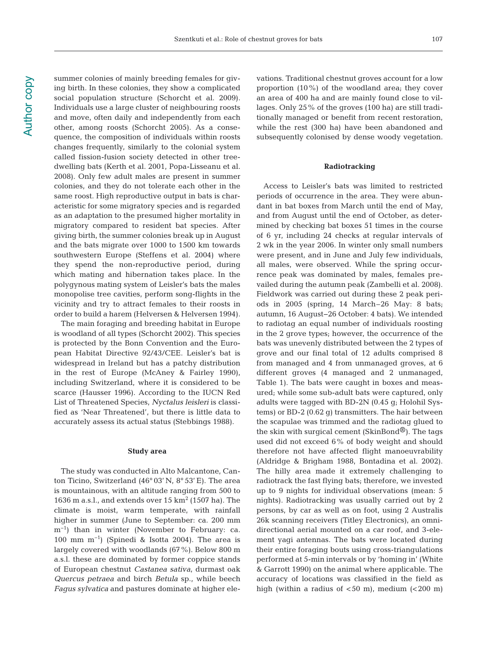**Author copy** Author copy summer colonies of mainly breeding females for giving birth. In these colonies, they show a complicated social population structure (Schorcht et al. 2009). Individuals use a large cluster of neighbouring roosts and move, often daily and independently from each other, among roosts (Schorcht 2005). As a consequence, the composition of individuals within roosts changes frequently, similarly to the colonial system called fission-fusion society detected in other treedwelling bats (Kerth et al. 2001, Popa-Lisseanu et al. 2008). Only few adult males are present in summer colonies, and they do not tolerate each other in the same roost. High reproductive output in bats is characteristic for some migratory species and is regarded as an adaptation to the presumed higher mortality in migratory compared to resident bat species. After giving birth, the summer colonies break up in August and the bats migrate over 1000 to 1500 km towards southwestern Europe (Steffens et al. 2004) where they spend the non-reproductive period, during which mating and hibernation takes place. In the polygynous mating system of Leisler's bats the males monopolise tree cavities, perform song-flights in the vicinity and try to attract females to their roosts in order to build a harem (Helversen & Helversen 1994).

The main foraging and breeding habitat in Europe is woodland of all types (Schorcht 2002). This species is protected by the Bonn Convention and the European Habitat Directive 92/43/CEE. Leisler's bat is widespread in Ireland but has a patchy distribution in the rest of Europe (McAney & Fairley 1990), including Switzerland, where it is considered to be scarce (Hausser 1996). According to the IUCN Red List of Threatened Species, *Nyctalus leisleri* is classified as 'Near Threatened', but there is little data to accurately assess its actual status (Stebbings 1988).

#### **Study area**

The study was conducted in Alto Malcantone, Canton Ticino, Switzerland (46° 03' N, 8° 53' E). The area is mountainous, with an altitude ranging from 500 to 1636 m a.s.l., and extends over  $15 \text{ km}^2$  (1507 ha). The climate is moist, warm temperate, with rainfall higher in summer (June to September: ca. 200 mm m−1) than in winter (November to February: ca. 100 mm m−1) (Spinedi & Isotta 2004). The area is largely covered with woodlands (67%). Below 800 m a.s.l. these are dominated by former coppice stands of European chestnut *Castanea sativa*, durmast oak *Quercus petraea* and birch *Betula* sp., while beech *Fagus sylvatica* and pastures dominate at higher elevations. Traditional chestnut groves account for a low proportion (10%) of the woodland area; they cover an area of 400 ha and are mainly found close to villages. Only 25% of the groves (100 ha) are still traditionally managed or benefit from recent restoration, while the rest (300 ha) have been abandoned and subsequently colonised by dense woody vegetation.

## **Radiotracking**

Access to Leisler's bats was limited to restricted periods of occurrence in the area. They were abundant in bat boxes from March until the end of May, and from August until the end of October, as determined by checking bat boxes 51 times in the course of 6 yr, including 24 checks at regular intervals of 2 wk in the year 2006. In winter only small numbers were present, and in June and July few individuals, all males, were observed. While the spring occurrence peak was dominated by males, females prevailed during the autumn peak (Zambelli et al. 2008). Fieldwork was carried out during these 2 peak periods in 2005 (spring, 14 March–26 May: 8 bats; autumn, 16 August−26 October: 4 bats). We intended to radiotag an equal number of individuals roosting in the 2 grove types; however, the occurrence of the bats was unevenly distributed between the 2 types of grove and our final total of 12 adults comprised 8 from managed and 4 from unmanaged groves, at 6 different groves (4 managed and 2 unmanaged, Table 1). The bats were caught in boxes and measured; while some sub-adult bats were captured, only adults were tagged with BD-2N (0.45 g; Holohil Systems) or BD-2 (0.62 g) transmitters. The hair between the scapulae was trimmed and the radiotag glued to the skin with surgical cement (SkinBond®). The tags used did not exceed 6% of body weight and should therefore not have affected flight manoeuvrability (Aldridge & Brigham 1988, Bontadina et al. 2002). The hilly area made it extremely challenging to radiotrack the fast flying bats; therefore, we invested up to 9 nights for individual observations (mean: 5 nights). Radiotracking was usually carried out by 2 persons, by car as well as on foot, using 2 Australis 26k scanning receivers (Titley Electronics), an omnidirectional aerial mounted on a car roof, and 3-element yagi antennas. The bats were located during their entire foraging bouts using cross-triangulations performed at 5-min intervals or by 'homing in' (White & Garrott 1990) on the animal where applicable. The accuracy of locations was classified in the field as high (within a radius of  $< 50$  m), medium  $( $200$  m)$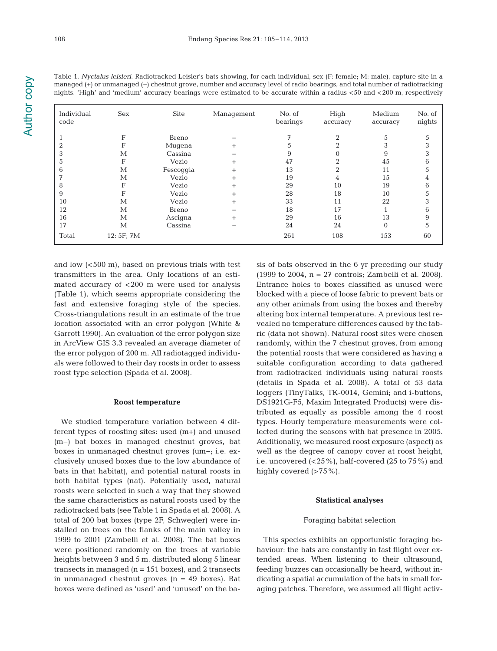Table 1. *Nyctalus leisleri.* Radiotracked Leisler's bats showing, for each individual, sex (F: female; M: male), capture site in a managed (+) or unmanaged (−) chestnut grove, number and accuracy level of radio bearings, and total number of radiotracking nights. 'High' and 'medium' accuracy bearings were estimated to be accurate within a radius <50 and <200 m, respectively

| Individual<br>code | Sex          | Site      | Management | No. of<br>bearings | High<br>accuracy | Medium<br>accuracy | No. of<br>nights |
|--------------------|--------------|-----------|------------|--------------------|------------------|--------------------|------------------|
|                    | F            | Breno     |            |                    | 2                | 5                  |                  |
| 2                  | F            | Mugena    | $^{+}$     |                    |                  |                    |                  |
| 3                  | М            | Cassina   |            |                    |                  | 9                  |                  |
| 5                  | F            | Vezio     | $^{+}$     | 47                 | ∩                | 45                 | h                |
| 6                  | М            | Fescoggia | $^{+}$     | 13                 | 2                | 11                 |                  |
| 7                  | М            | Vezio     | $^{+}$     | 19                 | 4                | 15                 |                  |
| 8                  | F            | Vezio     | $^{+}$     | 29                 | 10               | 19                 | 6                |
| 9                  | F            | Vezio     | $^{+}$     | 28                 | 18               | 10                 |                  |
| 10                 | М            | Vezio     | $^{+}$     | 33                 | 11               | 22                 |                  |
| 12                 | М            | Breno     |            | 18                 | 17               |                    | 6                |
| 16                 | М            | Ascigna   | $^{+}$     | 29                 | 16               | 13                 | 9                |
| 17                 | $\mathbf{M}$ | Cassina   |            | 24                 | 24               | $\Omega$           | 5                |
| Total              | 12: 5F; 7M   |           |            | 261                | 108              | 153                | 60               |

and low (<500 m), based on previous trials with test transmitters in the area. Only locations of an estimated accuracy of <200 m were used for analysis (Table 1), which seems appropriate considering the fast and extensive foraging style of the species. Cross-triangulations result in an estimate of the true location associated with an error polygon (White & Garrott 1990). An evaluation of the error polygon size in ArcView GIS 3.3 revealed an average diameter of the error polygon of 200 m. All radiotagged individuals were followed to their day roosts in order to assess roost type selection (Spada et al. 2008).

# **Roost temperature**

We studied temperature variation between 4 different types of roosting sites: used (m+) and unused (m−) bat boxes in managed chestnut groves, bat boxes in unmanaged chestnut groves (um−; i.e. exclusively unused boxes due to the low abundance of bats in that habitat), and potential natural roosts in both habitat types (nat). Potentially used, natural roosts were selected in such a way that they showed the same characteristics as natural roosts used by the radiotracked bats (see Table 1 in Spada et al. 2008). A total of 200 bat boxes (type 2F, Schwegler) were installed on trees on the flanks of the main valley in 1999 to 2001 (Zambelli et al. 2008). The bat boxes were positioned randomly on the trees at variable heights between 3 and 5 m, distributed along 5 linear transects in managed  $(n = 151$  boxes), and 2 transects in unmanaged chestnut groves  $(n = 49$  boxes). Bat boxes were defined as 'used' and 'unused' on the basis of bats observed in the 6 yr preceding our study (1999 to 2004,  $n = 27$  controls; Zambelli et al. 2008). Entrance holes to boxes classified as unused were blocked with a piece of loose fabric to prevent bats or any other animals from using the boxes and thereby altering box internal temperature. A previous test revealed no temperature differences caused by the fabric (data not shown). Natural roost sites were chosen randomly, within the 7 chestnut groves, from among the potential roosts that were considered as having a suitable configuration according to data gathered from radiotracked individuals using natural roosts (details in Spada et al. 2008). A total of 53 data loggers (Tiny Talks, TK-0014, Gemini; and i-buttons, DS1921G-F5, Maxim Integrated Products) were distributed as equally as possible among the 4 roost types. Hourly temperature measurements were collected during the seasons with bat presence in 2005. Additionally, we measured roost exposure (aspect) as well as the degree of canopy cover at roost height, i.e. uncovered  $(25\%)$ , half-covered  $(25 \text{ to } 75\%)$  and highly covered  $(>75\%)$ .

#### **Statistical analyses**

#### Foraging habitat selection

This species exhibits an opportunistic foraging behaviour: the bats are constantly in fast flight over extended areas. When listening to their ultrasound, feeding buzzes can occasionally be heard, without indicating a spatial accumulation of the bats in small foraging patches. Therefore, we assumed all flight activ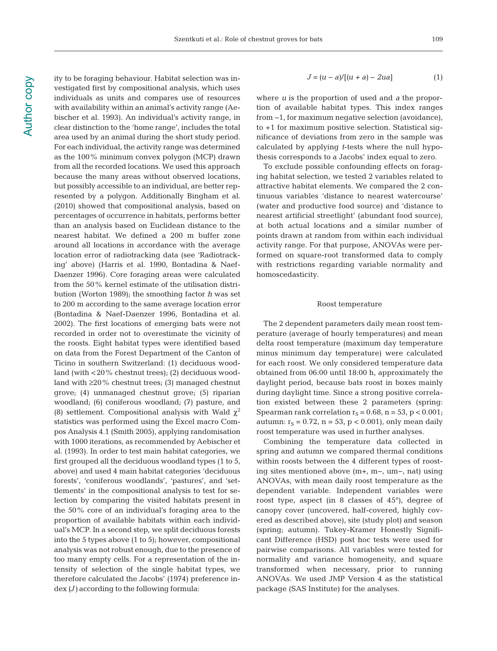ity to be foraging behaviour. Habitat selection was investigated first by compositional analysis, which uses individuals as units and compares use of resources with availability within an animal's activity range (Aebischer et al. 1993). An individual's activity range, in clear distinction to the 'home range', includes the total area used by an animal during the short study period. For each individual, the activity range was determined as the 100% minimum convex polygon (MCP) drawn from all the recorded locations. We used this approach because the many areas without observed locations, but possibly accessible to an individual, are better represented by a polygon. Additionally Bingham et al. (2010) showed that compositional analysis, based on percentages of occurrence in habitats, performs better than an analysis based on Euclidean distance to the nearest habitat. We defined a 200 m buffer zone around all locations in accordance with the average location error of radiotracking data (see 'Radiotracking' above) (Harris et al. 1990, Bontadina & Naef-Daenzer 1996). Core foraging areas were calculated from the 50% kernel estimate of the utilisation distribution (Worton 1989); the smoothing factor *h* was set to 200 m according to the same average location error (Bontadina & Naef-Daenzer 1996, Bontadina et al. 2002). The first locations of emerging bats were not recorded in order not to overestimate the vicinity of the roosts. Eight habitat types were identified based on data from the Forest Department of the Canton of Ticino in southern Switzerland: (1) deciduous woodland (with <20% chestnut trees); (2) deciduous woodland with  $\geq$ 20% chestnut trees; (3) managed chestnut grove; (4) unmanaged chestnut grove; (5) riparian woodland; (6) coniferous woodland; (7) pasture, and (8) settlement. Compositional analysis with Wald  $\chi^2$ statistics was performed using the Excel macro Compos Analysis 4.1 (Smith 2005), applying randomisation with 1000 iterations, as recommended by Aebischer et al. (1993). In order to test main habitat categories, we first grouped all the deciduous woodland types (1 to 5, above) and used 4 main habitat categories 'deciduous forests', 'coniferous woodlands', 'pastures', and 'settlements' in the compositional analysis to test for selection by comparing the visited habitats present in the 50% core of an individual's foraging area to the proportion of available habitats within each individual's MCP. In a second step, we split deciduous forests into the 5 types above (1 to 5); however, compositional analysis was not robust enough, due to the presence of too many empty cells. For a representation of the intensity of selection of the single habitat types, we therefore calculated the Jacobs' (1974) preference index *(J)* according to the following formula:

$$
J = (u - a)/[(u + a) - 2ua]
$$
 (1)

where *u* is the proportion of used and *a* the proportion of available habitat types. This index ranges from −1, for maximum negative selection (avoidance), to +1 for maximum positive selection. Statistical significance of deviations from zero in the sample was calculated by applying *t*-tests where the null hypothesis corresponds to a Jacobs' index equal to zero.

To exclude possible confounding effects on foraging habitat selection, we tested 2 variables related to attractive habitat elements. We compared the 2 continuous variables 'distance to nearest watercourse' (water and productive food source) and 'distance to nearest artificial streetlight' (abundant food source), at both actual locations and a similar number of points drawn at random from within each individual activity range. For that purpose, ANOVAs were performed on square-root transformed data to comply with restrictions regarding variable normality and homoscedasticity.

#### Roost temperature

The 2 dependent parameters daily mean roost temperature (average of hourly temperatures) and mean delta roost temperature (maximum day temperature minus minimum day temperature) were calculated for each roost. We only considered temperature data obtained from 06:00 until 18:00 h, approximately the daylight period, because bats roost in boxes mainly during daylight time. Since a strong positive correlation existed between these 2 parameters (spring: Spearman rank correlation  $r_S = 0.68$ ,  $n = 53$ ,  $p < 0.001$ ; autumn:  $r_s = 0.72$ , n = 53, p < 0.001), only mean daily roost temperature was used in further analyses.

Combining the temperature data collected in spring and autumn we compared thermal conditions within roosts between the 4 different types of roosting sites mentioned above (m+, m−, um−, nat) using ANOVAs, with mean daily roost temperature as the dependent variable. Independent variables were roost type, aspect (in 8 classes of 45°), degree of canopy cover (uncovered, half-covered, highly covered as described above), site (study plot) and season (spring; autumn). Tukey-Kramer Honestly Significant Difference (HSD) post hoc tests were used for pairwise comparisons. All variables were tested for normality and variance homogeneity, and square transformed when necessary, prior to running ANOVAs. We used JMP Version 4 as the statistical package (SAS Institute) for the analyses.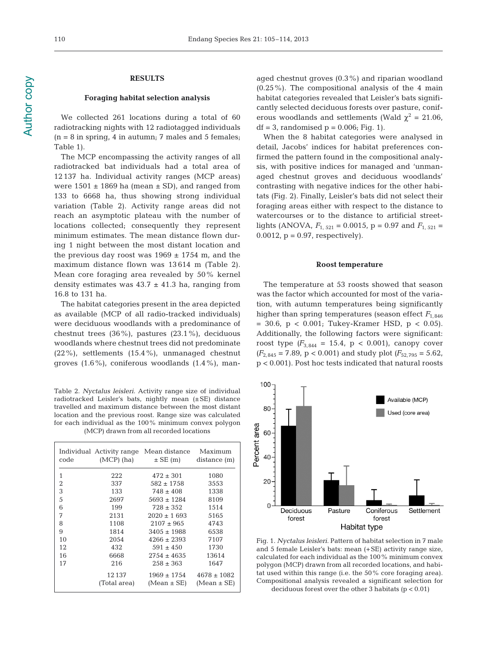**Author copy** Author copy

# **RESULTS**

# **Foraging habitat selection analysis**

We collected 261 locations during a total of 60 radiotracking nights with 12 radiotagged individuals  $(n = 8$  in spring, 4 in autumn; 7 males and 5 females; Table 1).

The MCP encompassing the activity ranges of all radiotracked bat individuals had a total area of 12 137 ha. Individual activity ranges (MCP areas) were  $1501 \pm 1869$  ha (mean  $\pm$  SD), and ranged from 133 to 6668 ha, thus showing strong individual variation (Table 2). Activity range areas did not reach an asymptotic plateau with the number of locations collected; consequently they represent minimum estimates. The mean distance flown during 1 night between the most distant location and the previous day roost was  $1969 \pm 1754$  m, and the maximum distance flown was 13 614 m (Table 2). Mean core foraging area revealed by 50% kernel density estimates was  $43.7 \pm 41.3$  ha, ranging from 16.8 to 131 ha.

The habitat categories present in the area depicted as available (MCP of all radio-tracked individuals) were deciduous woodlands with a predominance of chestnut trees (36%), pastures (23.1%), deciduous woodlands where chestnut trees did not predominate (22%), settlements (15.4%), unmanaged chestnut groves (1.6%), coniferous woodlands (1.4%), man-

Table 2. *Nyctalus leisleri.* Activity range size of individual radiotracked Leisler's bats, nightly mean (±SE) distance travelled and maximum distance between the most distant location and the previous roost. Range size was calculated for each individual as the 100% minimum convex polygon (MCP) drawn from all recorded locations

| code | Individual Activity range<br>$(MCP)$ (ha) | Mean distance<br>$\pm$ SE (m) | Maximum<br>distance (m) |
|------|-------------------------------------------|-------------------------------|-------------------------|
| 1    | 222                                       | $472 \pm 301$                 | 1080                    |
| 2    | 337                                       | $582 \pm 1758$                | 3553                    |
| 3    | 133                                       | $748 \pm 408$                 | 1338                    |
| 5    | 2697                                      | $5693 \pm 1284$               | 8109                    |
| 6    | 199                                       | $728 \pm 352$                 | 1514                    |
| 7    | 2131                                      | $2020 \pm 1693$               | 5165                    |
| 8    | 1108                                      | $2107 \pm 965$                | 4743                    |
| 9    | 1814                                      | $3405 \pm 1988$               | 6538                    |
| 10   | 2054                                      | $4266 \pm 2393$               | 7107                    |
| 12   | 432                                       | $591 \pm 450$                 | 1730                    |
| 16   | 6668                                      | $2754 \pm 4635$               | 13614                   |
| 17   | 216                                       | $258 \pm 363$                 | 1647                    |
|      | 12137                                     | $1969 \pm 1754$               | $4678 \pm 1082$         |
|      | (Total area)                              | $(Mean \pm SE)$               | (Mean ± SE)             |

aged chestnut groves (0.3%) and riparian woodland (0.25%). The compositional analysis of the 4 main habitat categories revealed that Leisler's bats significantly selected deciduous forests over pasture, coniferous woodlands and settlements (Wald  $\chi^2 = 21.06$ ,  $df = 3$ , randomised  $p = 0.006$ ; Fig. 1).

When the 8 habitat categories were analysed in detail, Jacobs' indices for habitat preferences confirmed the pattern found in the compositional analysis, with positive indices for managed and 'unmanaged chestnut groves and deciduous woodlands' contrasting with negative indices for the other habitats (Fig. 2). Finally, Leisler's bats did not select their foraging areas either with respect to the distance to watercourses or to the distance to artificial streetlights (ANOVA,  $F_{1, 521} = 0.0015$ ,  $p = 0.97$  and  $F_{1, 521} =$ 0.0012,  $p = 0.97$ , respectively).

#### **Roost temperature**

The temperature at 53 roosts showed that season was the factor which accounted for most of the variation, with autumn temperatures being significantly higher than spring temperatures (season effect  $F_{1,846}$ = 30.6, p < 0.001; Tukey-Kramer HSD, p < 0.05). Additionally, the following factors were significant: roost type  $(F_{3,844} = 15.4, p < 0.001)$ , canopy cover  $(F_{2.845} = 7.89, p < 0.001)$  and study plot  $(F_{52.795} = 5.62,$ p < 0.001). Post hoc tests indicated that natural roosts



Fig. 1. *Nyctalus leisleri.* Pattern of habitat selection in 7 male and 5 female Leisler's bats: mean (+SE) activity range size, calculated for each individual as the 100% minimum convex polygon (MCP) drawn from all recorded locations, and habitat used within this range (i.e. the 50% core foraging area). Compositional analysis revealed a significant selection for deciduous forest over the other 3 habitats  $(p < 0.01)$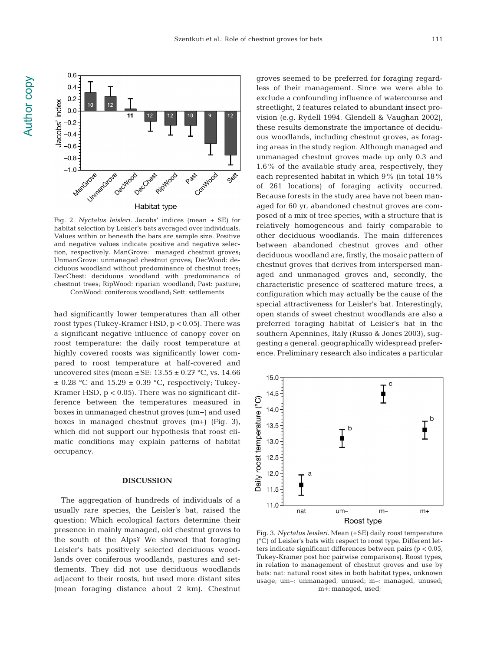

Fig. 2. *Nyctalus leisleri.* Jacobs' indices (mean + SE) for habitat selection by Leisler's bats averaged over individuals. Values within or beneath the bars are sample size. Positive and negative values indicate positive and negative selection, respectively. ManGrove: managed chestnut groves; UnmanGrove: unmanaged chestnut groves; DecWood: deciduous woodland without predominance of chestnut trees; DecChest: deciduous woodland with predominance of chestnut trees; RipWood: riparian woodland; Past: pasture; ConWood: coniferous woodland; Sett: settlements

had significantly lower temperatures than all other roost types (Tukey-Kramer HSD, p < 0.05). There was a significant negative influence of canopy cover on roost temperature: the daily roost temperature at highly covered roosts was significantly lower compared to roost temperature at half-covered and uncovered sites (mean  $\pm$  SE: 13.55  $\pm$  0.27 °C, vs. 14.66  $\pm$  0.28 °C and 15.29  $\pm$  0.39 °C, respectively; Tukey-Kramer HSD,  $p < 0.05$ ). There was no significant difference between the temperatures measured in boxes in unmanaged chestnut groves (um−) and used boxes in managed chestnut groves (m+) (Fig. 3), which did not support our hypothesis that roost climatic conditions may explain patterns of habitat occupancy.

## **DISCUSSION**

The aggregation of hundreds of individuals of a usually rare species, the Leisler's bat, raised the question: Which ecological factors determine their presence in mainly managed, old chestnut groves to the south of the Alps? We showed that foraging Leisler's bats positively selected deciduous woodlands over coniferous woodlands, pastures and settlements. They did not use deciduous woodlands adjacent to their roosts, but used more distant sites (mean foraging distance about 2 km). Chestnut groves seemed to be preferred for foraging regardless of their management. Since we were able to exclude a confounding influence of watercourse and streetlight, 2 features related to abundant insect provision (e.g. Rydell 1994, Glendell & Vaughan 2002), these results demonstrate the importance of deciduous woodlands, including chestnut groves, as foraging areas in the study region. Although managed and unmanaged chestnut groves made up only 0.3 and 1.6% of the available study area, respectively, they each represented habitat in which 9% (in total 18% of 261 locations) of foraging activity occurred. Because forests in the study area have not been managed for 60 yr, abandoned chestnut groves are composed of a mix of tree species, with a structure that is relatively homogeneous and fairly comparable to other deciduous woodlands. The main differences between abandoned chestnut groves and other deciduous woodland are, firstly, the mosaic pattern of chestnut groves that derives from interspersed managed and unmanaged groves and, secondly, the characteristic presence of scattered mature trees, a configuration which may actually be the cause of the special attractiveness for Leisler's bat. Interestingly, open stands of sweet chestnut woodlands are also a preferred foraging habitat of Leisler's bat in the southern Apennines, Italy (Russo & Jones 2003), suggesting a general, geographically widespread preference. Preliminary research also indicates a particular



Fig. 3. *Nyctalus leisleri.* Mean (±SE) daily roost temperature (°C) of Leisler's bats with respect to roost type. Different letters indicate significant differences between pairs (p < 0.05, Tukey-Kramer post hoc pairwise comparisons). Roost types, in relation to management of chestnut groves and use by bats: nat: natural roost sites in both habitat types, unknown usage; um−: unmanaged, unused; m−: managed, unused; m+: managed, used;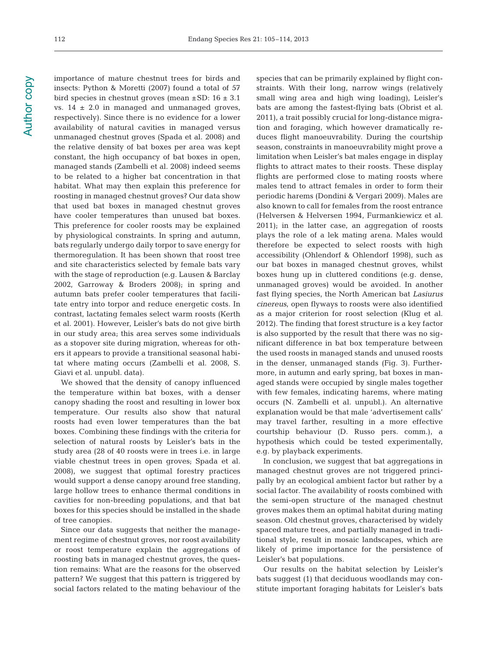**Author copy** Author copy 112

insects: Python & Moretti (2007) found a total of 57 bird species in chestnut groves (mean ±SD: 16 ± 3.1 vs.  $14 \pm 2.0$  in managed and unmanaged groves, respectively). Since there is no evidence for a lower availability of natural cavities in managed versus unmanaged chestnut groves (Spada et al. 2008) and the relative density of bat boxes per area was kept constant, the high occupancy of bat boxes in open, managed stands (Zambelli et al. 2008) indeed seems to be related to a higher bat concentration in that habitat. What may then explain this preference for roosting in managed chestnut groves? Our data show that used bat boxes in managed chestnut groves have cooler temperatures than unused bat boxes. This preference for cooler roosts may be explained by physiological constraints. In spring and autumn, bats regularly undergo daily torpor to save energy for thermoregulation. It has been shown that roost tree and site characteristics selected by female bats vary with the stage of reproduction (e.g. Lausen & Barclay 2002, Garroway & Broders 2008); in spring and autumn bats prefer cooler temperatures that facilitate entry into torpor and reduce energetic costs. In contrast, lactating females select warm roosts (Kerth et al. 2001). However, Leisler's bats do not give birth in our study area; this area serves some individuals as a stopover site during migration, whereas for others it appears to provide a transitional seasonal habitat where mating occurs (Zambelli et al. 2008, S.

Giavi et al. unpubl. data).

importance of mature chestnut trees for birds and

We showed that the density of canopy influenced the temperature within bat boxes, with a denser canopy shading the roost and resulting in lower box temperature. Our results also show that natural roosts had even lower temperatures than the bat boxes. Combining these findings with the criteria for selection of natural roosts by Leisler's bats in the study area (28 of 40 roosts were in trees i.e. in large viable chestnut trees in open groves; Spada et al. 2008), we suggest that optimal forestry practices would support a dense canopy around free standing, large hollow trees to enhance thermal conditions in cavities for non-breeding populations, and that bat boxes for this species should be installed in the shade of tree canopies.

Since our data suggests that neither the management regime of chestnut groves, nor roost availability or roost temperature explain the aggregations of roosting bats in managed chestnut groves, the question remains: What are the reasons for the observed pattern? We suggest that this pattern is triggered by social factors related to the mating behaviour of the

species that can be primarily explained by flight constraints. With their long, narrow wings (relatively small wing area and high wing loading), Leisler's bats are among the fastest-flying bats (Obrist et al. 2011), a trait possibly crucial for long-distance migration and foraging, which however dramatically reduces flight manoeuvrability. During the courtship season, constraints in manoeuvrability might prove a limitation when Leisler's bat males engage in display flights to attract mates to their roosts. These display flights are performed close to mating roosts where males tend to attract females in order to form their periodic harems (Dondini & Vergari 2009). Males are also known to call for females from the roost entrance (Helversen & Helversen 1994, Furmankiewicz et al. 2011); in the latter case, an aggregation of roosts plays the role of a lek mating arena. Males would therefore be expected to select roosts with high accessibility (Ohlendorf & Ohlendorf 1998), such as our bat boxes in managed chestnut groves, whilst boxes hung up in cluttered conditions (e.g. dense, unmanaged groves) would be avoided. In another fast flying species, the North American bat *Lasiurus cinereus*, open flyways to roosts were also identified as a major criterion for roost selection (Klug et al. 2012). The finding that forest structure is a key factor is also supported by the result that there was no significant difference in bat box temperature between the used roosts in managed stands and unused roosts in the denser, unmanaged stands (Fig. 3). Furthermore, in autumn and early spring, bat boxes in managed stands were occupied by single males together with few females, indicating harems, where mating occurs (N. Zambelli et al. unpubl.). An alternative explanation would be that male 'advertisement calls' may travel farther, resulting in a more effective courtship behaviour (D. Russo pers. comm.), a hypothesis which could be tested experimentally, e.g. by playback experiments.

In conclusion, we suggest that bat aggregations in managed chestnut groves are not triggered principally by an ecological ambient factor but rather by a social factor. The availability of roosts combined with the semi-open structure of the managed chestnut groves makes them an optimal habitat during mating season. Old chestnut groves, characterised by widely spaced mature trees, and partially managed in traditional style, result in mosaic landscapes, which are likely of prime importance for the persistence of Leisler's bat populations.

Our results on the habitat selection by Leisler's bats suggest (1) that deciduous woodlands may constitute important foraging habitats for Leisler's bats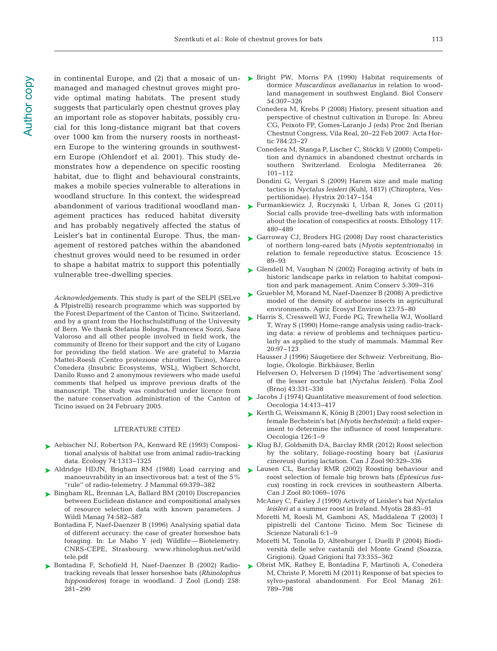managed and managed chestnut groves might provide optimal mating habitats. The present study suggests that particularly open chestnut groves play an important role as stopover habitats, possibly crucial for this long-distance migrant bat that covers over 1000 km from the nursery roosts in northeastern Europe to the wintering grounds in southwestern Europe (Ohlendorf et al. 2001). This study de monstrates how a dependence on specific roosting habitat, due to flight and behavioural constraints, makes a mobile species vulnerable to alterations in woodland structure. In this context, the widespread agement practices has reduced habitat diversity and has probably negatively affected the status of Leisler's bat in continental Europe. Thus, the management of restored patches within the abandoned chestnut groves would need to be resumed in order to shape a habitat matrix to support this potentially vulnerable tree-dwelling species.

*Acknowledgements*. This study is part of the SELPI (SELve & PIpistrelli) research programme which was supported by the Forest Department of the Canton of Ticino, Switzerland, and by a grant from the Hochschulstiftung of the University of Bern. We thank Stefania Bologna, Francesca Sozzi, Sara Valoroso and all other people involved in field work, the community of Breno for their support and the city of Lugano for providing the field station. We are grateful to Marzia Mattei-Roesli (Centro protezione chirotteri Ticino), Marco Conedera (Insubric Ecosystems, WSL), Wigbert Schorcht, Danilo Russo and 2 anonymous reviewers who made useful comments that helped us improve previous drafts of the manuscript. The study was conducted under licence from the nature conservation administration of the Canton of Ticino issued on 24 February 2005.

#### LITERATURE CITED

- ► Aebischer NJ, Robertson PA, Kenward RE (1993) Composi- ► [Klug BJ, Goldsmith DA, Barclay RMR \(2012\) Roost selection](http://dx.doi.org/10.1139/z11-139) tional analysis of habitat use from animal radio-tracking data. Ecology 74: 1313−1325
- ▶ [Aldridge HDJN, Brigham RM \(1988\) Load carrying and](http://dx.doi.org/10.2307/1381393) manoeuvrability in an insectivorous bat: a test of the 5% ''rule'' of radio-telemetry. J Mammal 69: 379−382
- ► [Bingham RL, Brennan LA, Ballard BM \(2010\) Discrepancies](http://dx.doi.org/10.2193/2009-119) between Euclidean distance and compositional analyses of resource selection data with known parameters. J Wildl Manag 74:582-587
	- Bontadina F, Naef-Daenzer B (1996) Analysing spatial data of different accuracy: the case of greater horseshoe bats foraging. In:Le Maho Y (ed) Wildlife—Biotelemetry. CNRS-CEPE, Strasbourg. www. rhinolophus. net/ wild tele. pdf
- ▶ [Bontadina F, Schofield H, Naef-Daenzer B \(2002\) Radio](http://dx.doi.org/10.1017/S0952836902001401)tracking reveals that lesser horseshoe bats (*Rhinolophus hipposideros*) forage in woodland. J Zool (Lond) 258: 281−290
- in continental Europe, and  $(2)$  that a mosaic of un  $\triangleright$  Bright PW, Morris PA  $(1990)$  Habitat requirements of dormice *Muscardinus avellanarius* in relation to woodland management in southwest England. Biol Conserv 54: 307−326
	- Conedera M, Krebs P (2008) History, present situation and perspective of chestnut cultivation in Europe. In:Abreu CG, Peixoto FP, Gomes-Laranjo J (eds) Proc 2nd Iberian Chestnut Congress, Vila Real, 20−22 Feb 2007. Acta Hortic 784: 23–27
	- Conedera M, Stanga P, Lischer C, Stöckli V (2000) Competition and dynamics in abandoned chestnut orchards in southern Switzerland. Ecologia Mediterranea 26: 101−112
	- Dondini G, Vergari S (2009) Harem size and male mating tactics in *Nyctalus leisleri* (Kuhl, 1817) (Chiroptera, Vespertilionidae). Hystrix 20: 147−154
- abandonment of various traditional woodland man- ▶ [Furmankiewicz J, Ruczynski I, Urban R, Jones G \(2011\)](http://dx.doi.org/10.1111/j.1439-0310.2011.01897.x) Social calls provide tree-dwelling bats with information about the location of conspecifics at roosts. Ethology 117: 480−489
	- ► [Garroway CJ, Broders HG \(2008\) Day roost characteristics](http://dx.doi.org/10.2980/1195-6860(2008)15%5B89%3ADRCONL%5D2.0.CO%3B2) of northern long-eared bats (*Myotis septentrionalis*) in relation to female reproductive status. Ecoscience 15: 89−93
	- ► [Glendell M, Vaughan N \(2002\) Foraging activity of bats in](http://dx.doi.org/10.1017/S1367943002004067) historic landscape parks in relation to habitat composition and park management. Anim Conserv 5: 309−316
	- ► [Gruebler M, Morand M, Naef-Daenzer B \(2008\) A predictive](http://dx.doi.org/10.1016/j.agee.2007.05.001) model of the density of airborne insects in agricultural environments. Agric Ecosyst Environ 123:75-80
	- ► [Harris S, Cresswell WJ, Forde PG, Trewhella WJ, Woollard](http://dx.doi.org/10.1111/j.1365-2907.1990.tb00106.x) T, Wray S (1990) Home-range analysis using radio-tracking data:a review of problems and techniques particularly as applied to the study of mammals. Mammal Rev 20: 97−123
		- Hausser J (1996) Säugetiere der Schweiz: Verbreitung, Biologie, Ökologie. Birkhäuser, Berlin
		- Helversen O, Helversen D (1994) The 'advertisement song' of the lesser noctule bat (*Nyctalus leisleri*). Folia Zool (Brno) 43: 331−338
	- [Jacobs J \(1974\) Quantitative measurement of food selection.](http://dx.doi.org/10.1007/BF00384581) ➤ Oecologia 14: 413−417
	- ► [Kerth G, Weissmann K, König B \(2001\) Day roost selection in](http://dx.doi.org/10.1007/s004420000489) female Bechstein's bat (*Myotis bechsteinii*): a field experiment to determine the influence of roost temperature. Oecologia 126: 1−9
	- by the solitary, foliage-roosting hoary bat (*Lasiurus cinereus*) during lactation. Can J Zool 90: 329−336
	- ▶ [Lausen CL, Barclay RMR \(2002\) Roosting behaviour and](http://dx.doi.org/10.1139/z02-086) roost selection of female big brown bats (*Eptesicus fuscus*) roosting in rock crevices in southeastern Alberta. Can J Zool 80:1069-1076
		- McAney C, Fairley J (1990) Activity of Leisler's bat *Nyctalus leisleri* at a summer roost in Ireland. Myotis 28:83-91
		- Moretti M, Roesli M, Gamboni AS, Maddalena T (2003) I pipistrelli del Cantone Ticino. Mem Soc Ticinese di Scienze Naturali 6: 1−9
		- Moretti M, Tonolla D, Altenburger I, Duelli P (2004) Biodiversità delle selve castanili del Monte Grand (Soazza, Grigioni). Quad Grigioni Ital 73: 355−362
	- [Obrist MK, Rathey E, Bontadina F, Martinoli A, Conedera](http://dx.doi.org/10.1016/j.foreco.2010.12.010) ➤M, Christe P, Moretti M (2011) Response of bat species to sylvo-pastoral abandonment. For Ecol Manag 261: 789−798